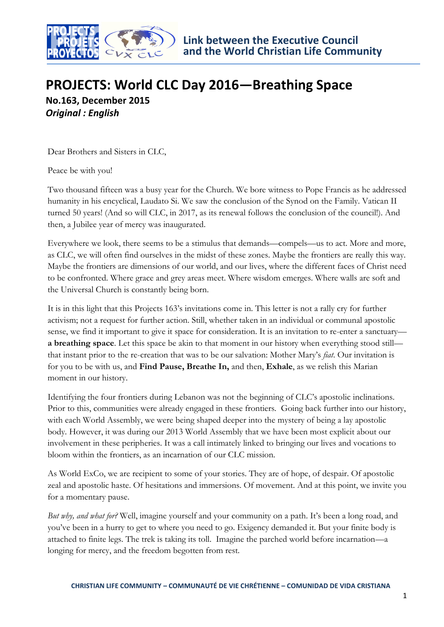

# **PROJECTS: World CLC Day 2016—Breathing Space No.163, December 2015** *Original : English*

Dear Brothers and Sisters in CLC,

Peace be with you!

Two thousand fifteen was a busy year for the Church. We bore witness to Pope Francis as he addressed humanity in his encyclical, Laudato Si. We saw the conclusion of the Synod on the Family. Vatican II turned 50 years! (And so will CLC, in 2017, as its renewal follows the conclusion of the council!). And then, a Jubilee year of mercy was inaugurated.

Everywhere we look, there seems to be a stimulus that demands—compels—us to act. More and more, as CLC, we will often find ourselves in the midst of these zones. Maybe the frontiers are really this way. Maybe the frontiers are dimensions of our world, and our lives, where the different faces of Christ need to be confronted. Where grace and grey areas meet. Where wisdom emerges. Where walls are soft and the Universal Church is constantly being born.

It is in this light that this Projects 163's invitations come in. This letter is not a rally cry for further activism; not a request for further action. Still, whether taken in an individual or communal apostolic sense, we find it important to give it space for consideration. It is an invitation to re-enter a sanctuary **a breathing space**. Let this space be akin to that moment in our history when everything stood still that instant prior to the re-creation that was to be our salvation: Mother Mary's *fiat*. Our invitation is for you to be with us, and **Find Pause, Breathe In,** and then, **Exhale**, as we relish this Marian moment in our history.

Identifying the four frontiers during Lebanon was not the beginning of CLC's apostolic inclinations. Prior to this, communities were already engaged in these frontiers. Going back further into our history, with each World Assembly, we were being shaped deeper into the mystery of being a lay apostolic body. However, it was during our 2013 World Assembly that we have been most explicit about our involvement in these peripheries. It was a call intimately linked to bringing our lives and vocations to bloom within the frontiers, as an incarnation of our CLC mission.

As World ExCo, we are recipient to some of your stories. They are of hope, of despair. Of apostolic zeal and apostolic haste. Of hesitations and immersions. Of movement. And at this point, we invite you for a momentary pause.

*But why, and what for?* Well, imagine yourself and your community on a path. It's been a long road, and you've been in a hurry to get to where you need to go. Exigency demanded it. But your finite body is attached to finite legs. The trek is taking its toll. Imagine the parched world before incarnation—a longing for mercy, and the freedom begotten from rest.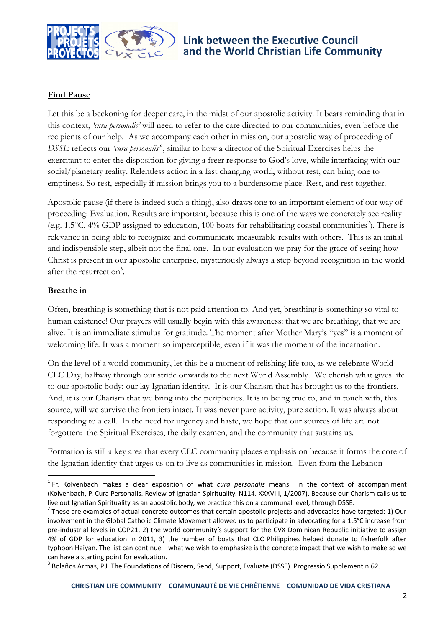

## **Find Pause**

Let this be a beckoning for deeper care, in the midst of our apostolic activity. It bears reminding that in this context, *'cura personalis'* will need to refer to the care directed to our communities, even before the recipients of our help. As we accompany each other in mission, our apostolic way of proceeding of *DSSE* reflects our *'cura personalis'<sup>1</sup>* , similar to how a director of the Spiritual Exercises helps the exercitant to enter the disposition for giving a freer response to God's love, while interfacing with our social/planetary reality. Relentless action in a fast changing world, without rest, can bring one to emptiness. So rest, especially if mission brings you to a burdensome place. Rest, and rest together.

Apostolic pause (if there is indeed such a thing), also draws one to an important element of our way of proceeding: Evaluation. Results are important, because this is one of the ways we concretely see reality (e.g.  $1.5^{\circ}$ C,  $4\%$  GDP assigned to education, 100 boats for rehabilitating coastal communities<sup>2</sup>). There is relevance in being able to recognize and communicate measurable results with others. This is an initial and indispensible step, albeit not the final one. In our evaluation we pray for the grace of seeing how Christ is present in our apostolic enterprise, mysteriously always a step beyond recognition in the world after the resurrection<sup>3</sup>.

### **Breathe in**

 $\overline{\phantom{a}}$ 

Often, breathing is something that is not paid attention to. And yet, breathing is something so vital to human existence! Our prayers will usually begin with this awareness: that we are breathing, that we are alive. It is an immediate stimulus for gratitude. The moment after Mother Mary's "yes" is a moment of welcoming life. It was a moment so imperceptible, even if it was the moment of the incarnation.

On the level of a world community, let this be a moment of relishing life too, as we celebrate World CLC Day, halfway through our stride onwards to the next World Assembly. We cherish what gives life to our apostolic body: our lay Ignatian identity. It is our Charism that has brought us to the frontiers. And, it is our Charism that we bring into the peripheries. It is in being true to, and in touch with, this source, will we survive the frontiers intact. It was never pure activity, pure action. It was always about responding to a call. In the need for urgency and haste, we hope that our sources of life are not forgotten: the Spiritual Exercises, the daily examen, and the community that sustains us.

Formation is still a key area that every CLC community places emphasis on because it forms the core of the Ignatian identity that urges us on to live as communities in mission. Even from the Lebanon

<sup>1</sup> Fr. Kolvenbach makes a clear exposition of what *cura personalis* means in the context of accompaniment (Kolvenbach, P. Cura Personalis. Review of Ignatian Spirituality. N114. XXXVIII, 1/2007). Because our Charism calls us to live out Ignatian Spirituality as an apostolic body, we practice this on a communal level, through DSSE.

 $2$  These are examples of actual concrete outcomes that certain apostolic projects and advocacies have targeted: 1) Our involvement in the Global Catholic Climate Movement allowed us to participate in advocating for a 1.5°C increase from pre-industrial levels in COP21, 2) the world community's support for the CVX Dominican Republic initiative to assign 4% of GDP for education in 2011, 3) the number of boats that CLC Philippines helped donate to fisherfolk after typhoon Haiyan. The list can continue—what we wish to emphasize is the concrete impact that we wish to make so we can have a starting point for evaluation.

<sup>&</sup>lt;sup>3</sup> Bolaños Armas, P.J. The Foundations of Discern, Send, Support, Evaluate (DSSE). Progressio Supplement n.62.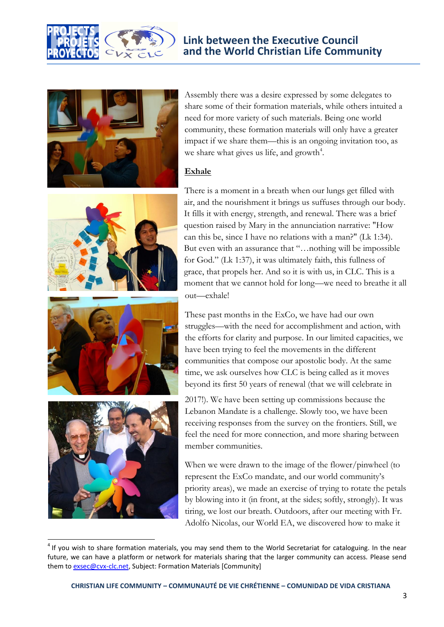



Assembly there was a desire expressed by some delegates to share some of their formation materials, while others intuited a need for more variety of such materials. Being one world community, these formation materials will only have a greater impact if we share them—this is an ongoing invitation too, as we share what gives us life, and growth<sup>4</sup>.

#### **Exhale**







 $\overline{\phantom{a}}$ 

There is a moment in a breath when our lungs get filled with air, and the nourishment it brings us suffuses through our body. It fills it with energy, strength, and renewal. There was a brief question raised by Mary in the annunciation narrative: "How can this be, since I have no relations with a man?" (Lk 1:34). But even with an assurance that "…nothing will be impossible for God." (Lk 1:37), it was ultimately faith, this fullness of grace, that propels her. And so it is with us, in CLC. This is a moment that we cannot hold for long—we need to breathe it all out—exhale!

These past months in the ExCo, we have had our own struggles—with the need for accomplishment and action, with the efforts for clarity and purpose. In our limited capacities, we have been trying to feel the movements in the different communities that compose our apostolic body. At the same time, we ask ourselves how CLC is being called as it moves beyond its first 50 years of renewal (that we will celebrate in

2017!). We have been setting up commissions because the Lebanon Mandate is a challenge. Slowly too, we have been receiving responses from the survey on the frontiers. Still, we feel the need for more connection, and more sharing between member communities.

When we were drawn to the image of the flower/pinwheel (to represent the ExCo mandate, and our world community's priority areas), we made an exercise of trying to rotate the petals by blowing into it (in front, at the sides; softly, strongly). It was tiring, we lost our breath. Outdoors, after our meeting with Fr. Adolfo Nicolas, our World EA, we discovered how to make it

 $<sup>4</sup>$  If you wish to share formation materials, you may send them to the World Secretariat for cataloguing. In the near</sup> future, we can have a platform or network for materials sharing that the larger community can access. Please send them to exsec@cvx-clc.net, Subject: Formation Materials [Community]